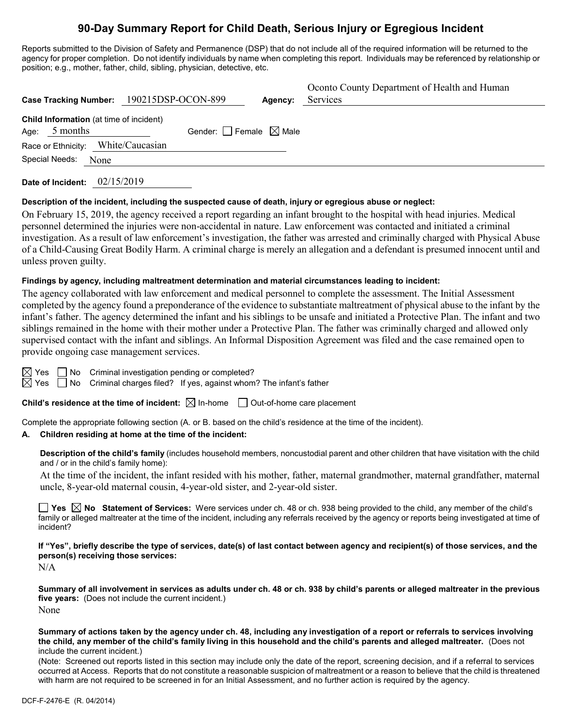# **90-Day Summary Report for Child Death, Serious Injury or Egregious Incident**

Reports submitted to the Division of Safety and Permanence (DSP) that do not include all of the required information will be returned to the agency for proper completion. Do not identify individuals by name when completing this report. Individuals may be referenced by relationship or position; e.g., mother, father, child, sibling, physician, detective, etc.

|                                                             | Case Tracking Number: 190215DSP-OCON-899 | Agency: | Oconto County Department of Health and Human<br>Services |
|-------------------------------------------------------------|------------------------------------------|---------|----------------------------------------------------------|
| Child Information (at time of incident)<br>5 months<br>Age: | Gender: $\Box$ Female $\boxtimes$ Male   |         |                                                          |
| Race or Ethnicity: White/Caucasian                          |                                          |         |                                                          |
| Special Needs:<br>None                                      |                                          |         |                                                          |

**Date of Incident:** 02/15/2019

#### **Description of the incident, including the suspected cause of death, injury or egregious abuse or neglect:**

On February 15, 2019, the agency received a report regarding an infant brought to the hospital with head injuries. Medical personnel determined the injuries were non-accidental in nature. Law enforcement was contacted and initiated a criminal investigation. As a result of law enforcement's investigation, the father was arrested and criminally charged with Physical Abuse of a Child-Causing Great Bodily Harm. A criminal charge is merely an allegation and a defendant is presumed innocent until and unless proven guilty.

#### **Findings by agency, including maltreatment determination and material circumstances leading to incident:**

The agency collaborated with law enforcement and medical personnel to complete the assessment. The Initial Assessment completed by the agency found a preponderance of the evidence to substantiate maltreatment of physical abuse to the infant by the infant's father. The agency determined the infant and his siblings to be unsafe and initiated a Protective Plan. The infant and two siblings remained in the home with their mother under a Protective Plan. The father was criminally charged and allowed only supervised contact with the infant and siblings. An Informal Disposition Agreement was filed and the case remained open to provide ongoing case management services.



 $\boxtimes$  Yes  $\Box$  No Criminal investigation pending or completed?

 $\boxtimes$  Yes  $\Box$  No Criminal charges filed? If yes, against whom? The infant's father

**Child's residence at the time of incident:**  $\boxtimes$  In-home  $\Box$  Out-of-home care placement

Complete the appropriate following section (A. or B. based on the child's residence at the time of the incident).

# **A. Children residing at home at the time of the incident:**

**Description of the child's family** (includes household members, noncustodial parent and other children that have visitation with the child and / or in the child's family home):

At the time of the incident, the infant resided with his mother, father, maternal grandmother, maternal grandfather, maternal uncle, 8-year-old maternal cousin, 4-year-old sister, and 2-year-old sister.

**Yes No Statement of Services:** Were services under ch. 48 or ch. 938 being provided to the child, any member of the child's family or alleged maltreater at the time of the incident, including any referrals received by the agency or reports being investigated at time of incident?

**If "Yes", briefly describe the type of services, date(s) of last contact between agency and recipient(s) of those services, and the person(s) receiving those services:**

N/A

**Summary of all involvement in services as adults under ch. 48 or ch. 938 by child's parents or alleged maltreater in the previous five years:** (Does not include the current incident.) None

**Summary of actions taken by the agency under ch. 48, including any investigation of a report or referrals to services involving the child, any member of the child's family living in this household and the child's parents and alleged maltreater.** (Does not include the current incident.)

(Note: Screened out reports listed in this section may include only the date of the report, screening decision, and if a referral to services occurred at Access. Reports that do not constitute a reasonable suspicion of maltreatment or a reason to believe that the child is threatened with harm are not required to be screened in for an Initial Assessment, and no further action is required by the agency.